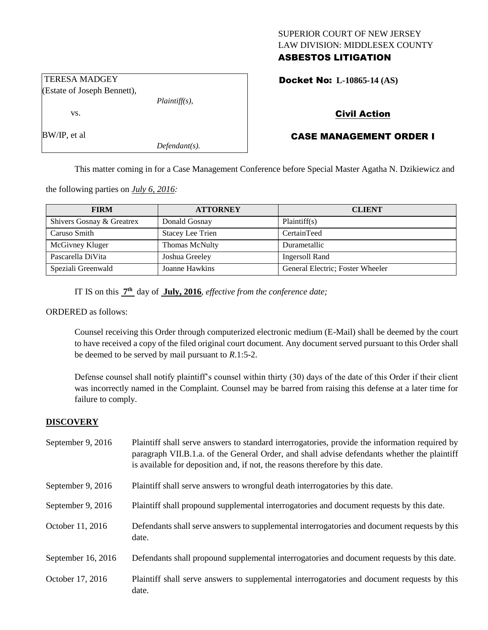# SUPERIOR COURT OF NEW JERSEY LAW DIVISION: MIDDLESEX COUNTY

## ASBESTOS LITIGATION

Docket No: **L-10865-14 (AS)** 

## Civil Action

## CASE MANAGEMENT ORDER I

This matter coming in for a Case Management Conference before Special Master Agatha N. Dzikiewicz and

the following parties on *July 6, 2016:*

| <b>FIRM</b>               | <b>ATTORNEY</b>         | <b>CLIENT</b>                    |
|---------------------------|-------------------------|----------------------------------|
| Shivers Gosnay & Greatrex | Donald Gosnay           | Plaintiff(s)                     |
| Caruso Smith              | <b>Stacey Lee Trien</b> | CertainTeed                      |
| McGivney Kluger           | Thomas McNulty          | Durametallic                     |
| Pascarella DiVita         | Joshua Greeley          | Ingersoll Rand                   |
| Speziali Greenwald        | Joanne Hawkins          | General Electric; Foster Wheeler |

IT IS on this **7 th** day of **July, 2016**, *effective from the conference date;*

*Plaintiff(s),*

*Defendant(s).*

#### ORDERED as follows:

Counsel receiving this Order through computerized electronic medium (E-Mail) shall be deemed by the court to have received a copy of the filed original court document. Any document served pursuant to this Order shall be deemed to be served by mail pursuant to *R*.1:5-2.

Defense counsel shall notify plaintiff's counsel within thirty (30) days of the date of this Order if their client was incorrectly named in the Complaint. Counsel may be barred from raising this defense at a later time for failure to comply.

#### **DISCOVERY**

| September 9, 2016  | Plaintiff shall serve answers to standard interrogatories, provide the information required by<br>paragraph VII.B.1.a. of the General Order, and shall advise defendants whether the plaintiff<br>is available for deposition and, if not, the reasons therefore by this date. |
|--------------------|--------------------------------------------------------------------------------------------------------------------------------------------------------------------------------------------------------------------------------------------------------------------------------|
| September 9, 2016  | Plaintiff shall serve answers to wrongful death interrogatories by this date.                                                                                                                                                                                                  |
| September 9, 2016  | Plaintiff shall propound supplemental interrogatories and document requests by this date.                                                                                                                                                                                      |
| October 11, 2016   | Defendants shall serve answers to supplemental interrogatories and document requests by this<br>date.                                                                                                                                                                          |
| September 16, 2016 | Defendants shall propound supplemental interrogatories and document requests by this date.                                                                                                                                                                                     |
| October 17, 2016   | Plaintiff shall serve answers to supplemental interrogatories and document requests by this<br>date.                                                                                                                                                                           |

vs.

TERESA MADGEY (Estate of Joseph Bennett),

BW/IP, et al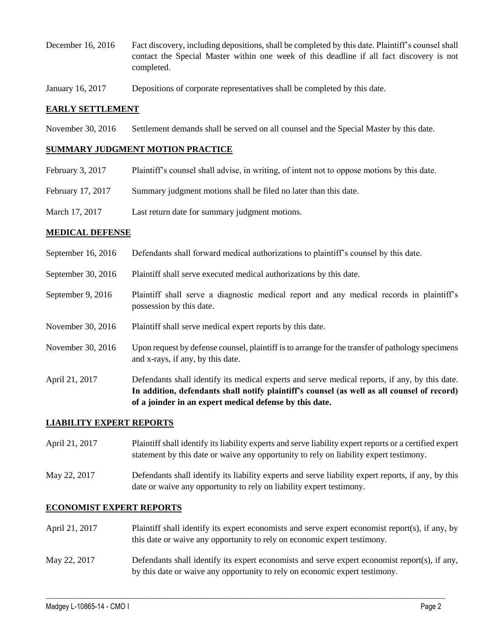- December 16, 2016 Fact discovery, including depositions, shall be completed by this date. Plaintiff's counsel shall contact the Special Master within one week of this deadline if all fact discovery is not completed.
- January 16, 2017 Depositions of corporate representatives shall be completed by this date.

### **EARLY SETTLEMENT**

November 30, 2016 Settlement demands shall be served on all counsel and the Special Master by this date.

#### **SUMMARY JUDGMENT MOTION PRACTICE**

- February 3, 2017 Plaintiff's counsel shall advise, in writing, of intent not to oppose motions by this date.
- February 17, 2017 Summary judgment motions shall be filed no later than this date.
- March 17, 2017 Last return date for summary judgment motions.

#### **MEDICAL DEFENSE**

- September 16, 2016 Defendants shall forward medical authorizations to plaintiff's counsel by this date.
- September 30, 2016 Plaintiff shall serve executed medical authorizations by this date.
- September 9, 2016 Plaintiff shall serve a diagnostic medical report and any medical records in plaintiff's possession by this date.
- November 30, 2016 Plaintiff shall serve medical expert reports by this date.
- November 30, 2016 Upon request by defense counsel, plaintiff is to arrange for the transfer of pathology specimens and x-rays, if any, by this date.
- April 21, 2017 Defendants shall identify its medical experts and serve medical reports, if any, by this date. **In addition, defendants shall notify plaintiff's counsel (as well as all counsel of record) of a joinder in an expert medical defense by this date.**

#### **LIABILITY EXPERT REPORTS**

- April 21, 2017 Plaintiff shall identify its liability experts and serve liability expert reports or a certified expert statement by this date or waive any opportunity to rely on liability expert testimony.
- May 22, 2017 Defendants shall identify its liability experts and serve liability expert reports, if any, by this date or waive any opportunity to rely on liability expert testimony.

### **ECONOMIST EXPERT REPORTS**

April 21, 2017 Plaintiff shall identify its expert economists and serve expert economist report(s), if any, by this date or waive any opportunity to rely on economic expert testimony. May 22, 2017 Defendants shall identify its expert economists and serve expert economist report(s), if any, by this date or waive any opportunity to rely on economic expert testimony.

 $\_$  , and the set of the set of the set of the set of the set of the set of the set of the set of the set of the set of the set of the set of the set of the set of the set of the set of the set of the set of the set of th